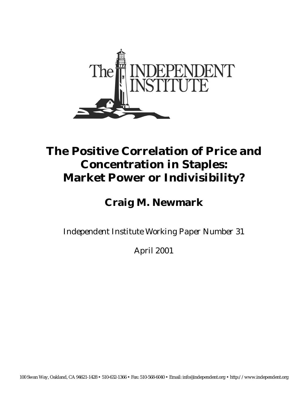

## **The Positive Correlation of Price and Concentration in Staples: Market Power or Indivisibility?**

**Craig M. Newmark** 

*Independent Institute Working Paper Number 31* 

April 2001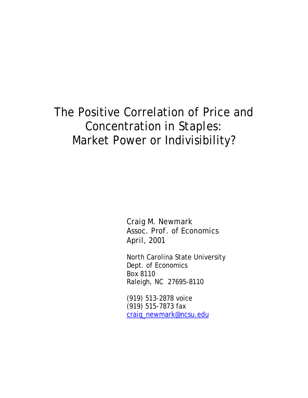# The Positive Correlation of Price and Concentration in *Staples:* Market Power or Indivisibility?

Craig M. Newmark Assoc. Prof. of Economics April, 2001

North Carolina State University Dept. of Economics Box 8110 Raleigh, NC 27695-8110

(919) 513-2878 voice (919) 515-7873 fax craig\_newmark@ncsu.edu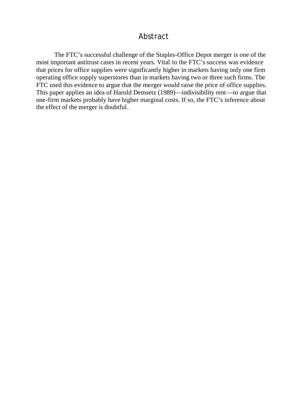#### Abstract

The FTC's successful challenge of the Staples-Office Depot merger is one of the most important antitrust cases in recent years. Vital to the FTC's success was evidence that prices for office supplies were significantly higher in markets having only one firm operating office supply superstores than in markets having two or three such firms. The FTC used this evidence to argue that the merger would raise the price of office supplies. This paper applies an idea of Harold Demsetz (1989)—indivisibility rent—to argue that one-firm markets probably have higher marginal costs. If so, the FTC's inference about the effect of the merger is doubtful.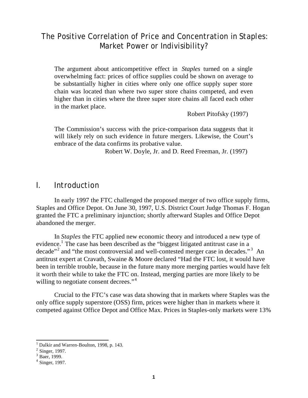### The Positive Correlation of Price and Concentration in *Staples:* Market Power or Indivisibility?

The argument about anticompetitive effect in *Staples* turned on a single overwhelming fact: prices of office supplies could be shown on average to be substantially higher in cities where only one office supply super store chain was located than where two super store chains competed, and even higher than in cities where the three super store chains all faced each other in the market place.

Robert Pitofsky (1997)

The Commission's success with the price-comparison data suggests that it will likely rely on such evidence in future mergers. Likewise, the Court's embrace of the data confirms its probative value.

Robert W. Doyle, Jr. and D. Reed Freeman, Jr. (1997)

#### *I. Introduction*

In early 1997 the FTC challenged the proposed merger of two office supply firms, Staples and Office Depot. On June 30, 1997, U.S. District Court Judge Thomas F. Hogan granted the FTC a preliminary injunction; shortly afterward Staples and Office Depot abandoned the merger.

In *Staples* the FTC applied new economic theory and introduced a new type of evidence.<sup>1</sup> The case has been described as the "biggest litigated antitrust case in a decade"<sup>2</sup> and "the most controversial and well-contested merger case in decades."<sup>3</sup> An antitrust expert at Cravath, Swaine & Moore declared "Had the FTC lost, it would have been in terrible trouble, because in the future many more merging parties would have felt it worth their while to take the FTC on. Instead, merging parties are more likely to be willing to negotiate consent decrees."<sup>4</sup>

Crucial to the FTC's case was data showing that in markets where Staples was the only office supply superstore (OSS) firm, prices were higher than in markets where it competed against Office Depot and Office Max. Prices in Staples-only markets were 13%

<sup>1</sup> Dalkir and Warren-Boulton, 1998, p. 143.

 $2$  Singer, 1997.

<sup>3</sup> Baer, 1999.

<sup>4</sup> Singer, 1997.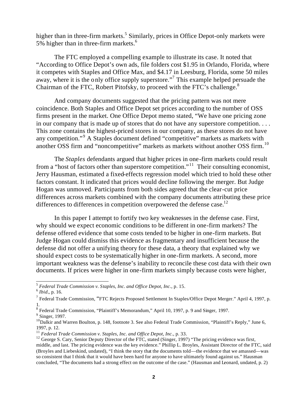higher than in three-firm markets.<sup>5</sup> Similarly, prices in Office Depot-only markets were 5% higher than in three-firm markets.<sup>6</sup>

The FTC employed a compelling example to illustrate its case. It noted that "According to Office Depot's own ads, file folders cost \$1.95 in Orlando, Florida, where it competes with Staples and Office Max, and \$4.17 in Leesburg, Florida, some 50 miles away, where it is the only office supply superstore."<sup>7</sup> This example helped persuade the Chairman of the FTC, Robert Pitofsky, to proceed with the FTC's challenge.<sup>8</sup>

And company documents suggested that the pricing pattern was not mere coincidence. Both Staples and Office Depot set prices according to the number of OSS firms present in the market. One Office Depot memo stated, "We have one pricing zone in our company that is made up of stores that do not have any superstore competition. . . . This zone contains the highest-priced stores in our company, as these stores do not have any competition."<sup>9</sup> A Staples document defined "competitive" markets as markets with another OSS firm and "noncompetitive" markets as markets without another OSS firm.<sup>10</sup>

The *Staples* defendants argued that higher prices in one-firm markets could result from a "host of factors other than superstore competition."<sup>11</sup> Their consulting economist, Jerry Hausman, estimated a fixed-effects regression model which tried to hold these other factors constant. It indicated that prices would decline following the merger. But Judge Hogan was unmoved. Participants from both sides agreed that the clear-cut price differences across markets combined with the company documents attributing these price differences to differences in competition overpowered the defense case.<sup>12</sup>

In this paper I attempt to fortify two key weaknesses in the defense case. First, why should we expect economic conditions to be different in one-firm markets? The defense offered evidence that some costs tended to be higher in one-firm markets. But Judge Hogan could dismiss this evidence as fragmentary and insufficient because the defense did not offer a unifying theory for these data, a theory that explained why we should expect costs to be systematically higher in one-firm markets. A second, more important weakness was the defense's inability to reconcile these cost data with their own documents. If prices were higher in one-firm markets simply because costs were higher,

 5 *Federal Trade Commission v. Staples, Inc. and Office Depot, Inc.*, p. 15.

<sup>6</sup> *Ibid.*, p. 16.

<sup>&</sup>lt;sup>7</sup> Federal Trade Commission, "FTC Rejects Proposed Settlement In Staples/Office Depot Merger." April 4, 1997, p. 1.

<sup>&</sup>lt;sup>8</sup> Federal Trade Commission, "Plaintiff's Memorandum," April 10, 1997, p. 9 and Singer, 1997.

<sup>&</sup>lt;sup>9</sup> Singer, 1997.

<sup>&</sup>lt;sup>10</sup>Dalkir and Warren Boulton, p. 148, footnote 3. See also Federal Trade Commission, "Plaintiff's Reply," June 6, 1997, p. 12.

<sup>&</sup>lt;sup>11</sup> Federal Trade Commission v. Staples, Inc. and Office Depot, Inc., p. 33.

<sup>&</sup>lt;sup>12</sup> George S. Cary, Senior Deputy Director of the FTC, stated (Singer, 1997) "The pricing evidence was first, middle, and last. The pricing evidence was the key evidence." Phillip L. Broyles, Assistant Director of the FTC, said (Broyles and Liebeskind, undated), "I think the story that the documents told—the evidence that we amassed—was so consistent that I think that it would have been hard for anyone to have ultimately found against us." Hausman concluded, "The documents had a strong effect on the outcome of the case." (Hausman and Leonard, undated, p. 2)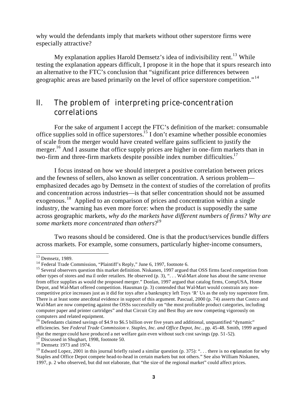why would the defendants imply that markets without other superstore firms were especially attractive?

My explanation applies Harold Demsetz's idea of indivisibility rent.<sup>13</sup> While testing the explanation appears difficult, I propose it in the hope that it spurs research into an alternative to the FTC's conclusion that "significant price differences between geographic areas are based primarily on the level of office superstore competition."<sup>14</sup>

## *II. The problem of interpreting price-concentration correlations*

For the sake of argument I accept the FTC's definition of the market: consumable office supplies sold in office superstores.<sup>15</sup> I don't examine whether possible economies of scale from the merger would have created welfare gains sufficient to justify the merger.<sup>16</sup> And I assume that office supply prices are higher in one-firm markets than in two-firm and three-firm markets despite possible index number difficulties.<sup>17</sup>

I focus instead on how we should interpret a positive correlation between prices and the fewness of sellers, also known as seller concentration. A serious problem emphasized decades ago by Demsetz in the context of studies of the correlation of profits and concentration across industries—is that seller concentration should not be assumed exogenous.<sup>18</sup> Applied to an comparison of prices and concentration within a single industry, the warning has even more force: when the product is supposedly the same across geographic markets, *why do the markets have different numbers of firms? Why are some markets more concentrated than others*? 19

Two reasons should be considered. One is that the product/services bundle differs across markets. For example, some consumers, particularly higher-income consumers,

 $13$  Demsetz, 1989.

<sup>&</sup>lt;sup>14</sup> Federal Trade Commission, "Plaintiff's Reply," June 6, 1997, footnote 6.

<sup>&</sup>lt;sup>15</sup> Several observers question this market definition. Niskanen, 1997 argued that OSS firms faced competition from other types of stores and ma il order retailers. He observed (p. 3), ". . . Wal-Mart alone has about the same revenue from office supplies as would the proposed merger." Donlan, 1997 argued that catalog firms, CompUSA, Home Depot, and Wal-Mart offered competition. Hausman (p. 3) contended that Wal-Mart would constrain any noncompetitive price increases just as it did for toys after a bankruptcy left Toys 'R' Us as the only toy superstore firm. There is at least some anecdotal evidence in support of this argument. Pascual, 2000 (p. 74) asserts that Costco and Wal-Mart are now competing against the OSSs successfully on "the most profitable product categories, including computer paper and printer cartridges" and that Circuit City and Best Buy are now competing vigorously on computers and related equipment.

<sup>&</sup>lt;sup>16</sup> Defendants claimed savings of \$4.9 to \$6.5 billion over five years and additional, unquantified "dynamic" efficiencies. See *Federal Trade Commission v. Staples, Inc. and Office Depot, Inc.*, pp. 45-48. Smith, 1999 argued that the merger could have produced a net welfare gain even without such cost savings (pp. 51-52).

<sup>&</sup>lt;sup>17</sup> Discussed in Shughart, 1998, footnote 50.

<sup>18</sup> Demsetz 1973 and 1974.

<sup>&</sup>lt;sup>19</sup> Edward Lopez, 2001 in this journal briefly raised a similar question (p. 375): "... there is no explanation for why Staples and Office Depot compete head-to-head in certain markets but not others." See also William Niskanen, 1997, p. 2 who observed, but did not elaborate, that "the size of the regional market" could affect prices.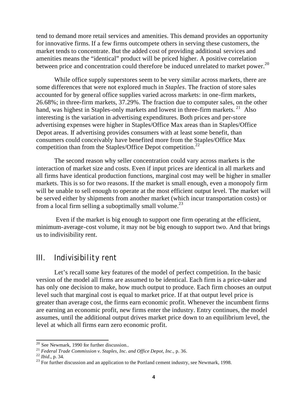tend to demand more retail services and amenities. This demand provides an opportunity for innovative firms. If a few firms outcompete others in serving these customers, the market tends to concentrate. But the added cost of providing additional services and amenities means the "identical" product will be priced higher. A positive correlation between price and concentration could therefore be induced unrelated to market power.<sup>20</sup>

While office supply superstores seem to be very similar across markets, there are some differences that were not explored much in *Staples*. The fraction of store sales accounted for by general office supplies varied across markets: in one-firm markets, 26.68%; in three-firm markets, 37.29%. The fraction due to computer sales, on the other hand, was highest in Staples-only markets and lowest in three-firm markets.  $21$  Also interesting is the variation in advertising expenditures. Both prices and per-store advertising expenses were higher in Staples/Office Max areas than in Staples/Office Depot areas. If advertising provides consumers with at least some benefit, than consumers could conceivably have benefited more from the Staples/Office Max competition than from the Staples/Office Depot competition.<sup>22</sup>

The second reason why seller concentration could vary across markets is the interaction of market size and costs. Even if input prices are identical in all markets and all firms have identical production functions, marginal cost may well be higher in smaller markets. This is so for two reasons. If the market is small enough, even a monopoly firm will be unable to sell enough to operate at the most efficient output level. The market will be served either by shipments from another market (which incur transportation costs) or from a local firm selling a suboptimally small volume.<sup>23</sup>

 Even if the market is big enough to support one firm operating at the efficient, minimum-average-cost volume, it may not be big enough to support two. And that brings us to indivisibility rent.

#### *III. Indivisibility rent*

Let's recall some key features of the model of perfect competition. In the basic version of the model all firms are assumed to be identical. Each firm is a price-taker and has only one decision to make, how much output to produce. Each firm chooses an output level such that marginal cost is equal to market price. If at that output level price is greater than average cost, the firms earn economic profit. Whenever the incumbent firms are earning an economic profit, new firms enter the industry. Entry continues, the model assumes, until the additional output drives market price down to an equilibrium level, the level at which all firms earn zero economic profit.

 $20$  See Newmark, 1990 for further discussion..

<sup>21</sup> *Federal Trade Commission v. Staples, Inc. and Office Depot, Inc.*, p. 36.

<sup>22</sup> *Ibid*., p. 34.

 $^{23}$  For further discussion and an application to the Portland cement industry, see Newmark, 1998.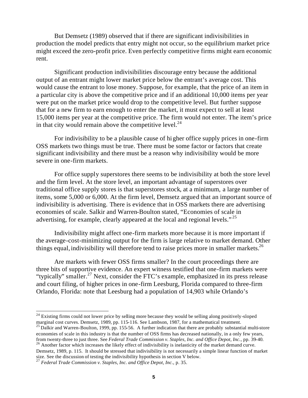But Demsetz (1989) observed that if there are significant indivisibilities in production the model predicts that entry might not occur, so the equilibrium market price might exceed the zero-profit price. Even perfectly competitive firms might earn economic rent.

Significant production indivisibilities discourage entry because the additional output of an entrant might lower market price below the entrant's average cost. This would cause the entrant to lose money. Suppose, for example, that the price of an item in a particular city is above the competitive price and if an additional 10,000 items per year were put on the market price would drop to the competitive level. But further suppose that for a new firm to earn enough to enter the market, it must expect to sell at least 15,000 items per year at the competitive price. The firm would not enter. The item's price in that city would remain above the competitive level. $24$ 

For indivisibility to be a plausible cause of higher office supply prices in one-firm OSS markets two things must be true. There must be some factor or factors that create significant indivisibility and there must be a reason why indivisibility would be more severe in one-firm markets.

For office supply superstores there seems to be indivisibility at both the store level and the firm level. At the store level, an important advantage of superstores over traditional office supply stores is that superstores stock, at a minimum, a large number of items, some 5,000 or 6,000. At the firm level, Demsetz argued that an important source of indivisibility is advertising. There is evidence that in OSS markets there are advertising economies of scale. Salkir and Warren-Boulton stated, "Economies of scale in advertising, for example, clearly appeared at the local and regional levels."<sup>25</sup>

Indivisibility might affect one-firm markets more because it is more important if the average-cost-minimizing output for the firm is large relative to market demand. Other things equal, indivisibility will therefore tend to raise prices more in smaller markets.<sup>26</sup>

Are markets with fewer OSS firms smaller? In the court proceedings there are three bits of supportive evidence. An expert witness testified that one-firm markets were "typically" smaller.<sup>27</sup> Next, consider the FTC's example, emphasized in its press release and court filing, of higher prices in one-firm Leesburg, Florida compared to three-firm Orlando, Florida: note that Leesburg had a population of 14,903 while Orlando's

 $^{25}$  Dalkir and Warren-Boulton, 1999, pp. 155-56. A further indication that there are probably substantial multi-store economies of scale in this industry is that the number of OSS firms has decreased nationally, in a only few years, from twenty-three to just three. See *Federal Trade Commission v. Staples, Inc. and Office Depot, Inc.*, pp. 39-40.

<sup>26</sup> Another factor which increases the likely effect of indivisibility is inelasticity of the market demand curve. Demsetz, 1989, p. 115. It should be stressed that indivisibility is not necessarily a simple linear function of market size. See the discussion of testing the indivisibility hypothesis in section V below.

 $24$  Existing firms could not lower price by selling more because they would be selling along positively-sloped marginal cost curves. Demsetz, 1989, pp. 115-116. See Lambson, 1987, for a mathematical treatment.

<sup>27</sup> *Federal Trade Commission v. Staples, Inc. and Office Depot, Inc.*, p. 35.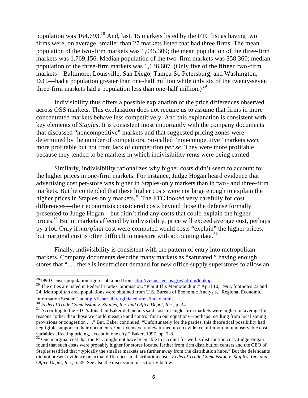population was  $164.693<sup>28</sup>$  And, last, 15 markets listed by the FTC list as having two firms were, on average, smaller than 27 markets listed that had three firms. The mean population of the two-firm markets was 1,045,309; the mean population of the three-firm markets was 1,769,156. Median population of the two-firm markets was 358,360; median population of the three-firm markets was 1,136,607. (Only five of the fifteen two -firm markets—Baltimore, Louisville, San Diego, Tampa-St. Petersburg, and Washington, D.C.—had a population greater than one-half million while only six of the twenty-seven three-firm markets had a population less than one-half million.)<sup>29</sup>

Indivisibility thus offers a possible explanation of the price differences observed across OSS markets. This explanation does not require us to assume that firms in more concentrated markets behave less competitively. And this explanation is consistent with key elements of *Staples*. It is consistent most importantly with the company documents that discussed "noncompetitive" markets and that suggested pricing zones were determined by the number of competitors. So-called "non-competitive" markets *were* more profitable but not from lack of competition *per se*. They were more profitable because they tended to be markets in which indivisibility rents were being earned.

Similarly, indivisibility rationalizes why higher costs didn't seem to account for the higher prices in one-firm markets. For instance, Judge Hogan heard evidence that advertising cost per-store was higher in Staples-only markets than in two- and three-firm markets. But he contended that these higher costs were not large enough to explain the higher prices in Staples-only markets.<sup>30</sup> The FTC looked very carefully for cost differences—their economists considered costs beyond those the defense formally presented to Judge Hogan—but didn't find any costs that could explain the higher prices. $31$  But in markets affected by indivisibility, price will exceed average cost, perhaps by a lot. Only if *marginal* cost were computed would costs "explain" the higher prices, but marginal cost is often difficult to measure with accounting data.<sup>32</sup>

Finally, indivisibility is consistent with the pattern of entry into metropolitan markets. Company documents describe many markets as "saturated," having enough stores that "... there is insufficient demand for new office supply superstores to allow an

<sup>&</sup>lt;sup>28</sup>1990 Census population figures obtained from http://venus.census.gov/cdrom/lookup.

<sup>&</sup>lt;sup>29</sup> The cities are listed in Federal Trade Commission, "Plaintiff's Memorandum," April 10, 1997, footnotes 23 and 24. Metropolitan area populations were obtained from U.S. Bureau of Economic Analysis, "Regional Economic Information System" at http://fisher.lib.virginia.edu/reis/index.html.

<sup>30</sup> *Federal Trade Commission v. Staples, Inc. and Office Depot, Inc.*, p. 34.

<sup>&</sup>lt;sup>31</sup> According to the FTC's Jonathan Baker defendants said costs in single-firm markets were higher on average for reasons "other than those we could measure and control for in our equations—perhaps resulting from local zoning provisions or congestion . . ." But, Baker continued, "Unfortunately for the parties, this theoretical possibility had negligible support in their documents. Our extensive review turned up no evidence of important unobservable cost variables affecting pricing, except in one city." Baker, 1997, pp. 7-8.

 $32$  One marginal cost that the FTC might not have been able to account for well is distribution cost. Judge Hogan found that such costs were probably higher for stores located farther from firm distribution centers and the CEO of Staples testified that "typically the smaller markets are further away from the distribution hubs." But the defendants did not present evidence on actual differences in distribution costs. *Federal Trade Commission v. Staples, Inc. and Office Depot, Inc.*, p. 35. See also the discussion in section V below.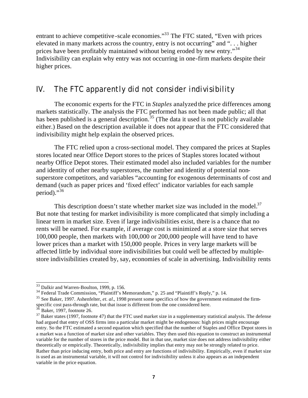entrant to achieve competitive-scale economies."<sup>33</sup> The FTC stated, "Even with prices elevated in many markets across the country, entry is not occurring" and ". . . higher prices have been profitably maintained without being eroded by new entry."<sup>34</sup> Indivisibility can explain why entry was not occurring in one-firm markets despite their higher prices.

### *IV. The FTC apparently did not consider indivisibility*

The economic experts for the FTC in *Staples* analyzed the price differences among markets statistically. The analysis the FTC performed has not been made public; all that has been published is a general description.<sup>35</sup> (The data it used is not publicly available either.) Based on the description available it does not appear that the FTC considered that indivisibility might help explain the observed prices.

The FTC relied upon a cross-sectional model. They compared the prices at Staples stores located near Office Deport stores to the prices of Staples stores located without nearby Office Depot stores. Their estimated model also included variables for the number and identity of other nearby superstores, the number and identity of potential nonsuperstore competitors, and variables "accounting for exogenous determinants of cost and demand (such as paper prices and 'fixed effect' indicator variables for each sample period)." $36$ 

This description doesn't state whether market size was included in the model. $37$ But note that testing for market indivisibility is more complicated that simply including a linear term in market size. Even if large indivisibilities exist, there is a chance that no rents will be earned. For example, if average cost is minimized at a store size that serves 100,000 people, then markets with 100,000 or 200,000 people will have tend to have lower prices than a market with 150,000 people. Prices in very large markets will be affected little by individual store indivisibilities but could well be affected by multiplestore indivisibilities created by, say, economies of scale in advertising. Indivisibility rents

 $33$  Dalkir and Warren-Boulton, 1999, p. 156.

<sup>&</sup>lt;sup>34</sup> Federal Trade Commission, "Plaintiff's Memorandum," p. 25 and "Plaintiff's Reply," p. 14.

<sup>35</sup> See Baker, 1997. Ashenfelter, *et. al.*, 1998 present some specifics of how the government estimated the firmspecific cost pass-through rate, but that issue is different from the one considered here.

 $3\delta$  Baker, 1997, footnote 26.

 $37$  Baker states (1997, footnote 47) that the FTC used market size in a supplementary statistical analysis. The defense had argued that entry of OSS firms into a particular market might be endogenous: high prices might encourage entry. So the FTC estimated a second equation which specified that the number of Staples and Office Depot stores in a market was a function of market size and other variables. They then used this equation to construct an instrumental variable for the number of stores in the price model. But in that use, market size does not address indivisibility either theoretically or empirically. Theoretically, indivisibility implies that entry may not be strongly related to price. Rather than price inducing entry, both price and entry are functions of indivisibility. Empirically, even if market size is used as an instrumental variable, it will not control for indivisibility unless it also appears as an independent variable in the price equation.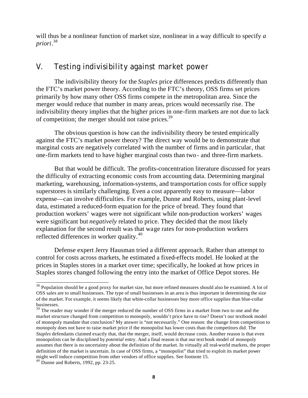will thus be a nonlinear function of market size, nonlinear in a way difficult to specify *a priori*. 38

### *V. Testing indivisibility against market power*

The indivisibility theory for the *Staples* price differences predicts differently than the FTC's market power theory. According to the FTC's theory, OSS firms set prices primarily by how many other OSS firms compete in the metropolitan area. Since the merger would reduce that number in many areas, prices would necessarily rise. The indivisibility theory implies that the higher prices in one-firm markets are not due to lack of competition; the merger should not raise prices.<sup>39</sup>

The obvious question is how can the indivisibility theory be tested empirically against the FTC's market power theory? The direct way would be to demonstrate that marginal costs are negatively correlated with the number of firms and in particular, that one-firm markets tend to have higher marginal costs than two- and three-firm markets.

But that would be difficult. The profits-concentration literature discussed for years the difficulty of extracting economic costs from accounting data. Determining marginal marketing, warehousing, information-systems, and transportation costs for office supply superstores is similarly challenging. Even a cost apparently easy to measure—labor expense—can involve difficulties. For example, Dunne and Roberts, using plant-level data, estimated a reduced-form equation for the price of bread. They found that production workers' wages were not significant while non-production workers' wages were significant but *negatively* related to price. They decided that the most likely explanation for the second result was that wage rates for non-production workers reflected differences in worker quality.<sup>40</sup>

Defense expert Jerry Hausman tried a different approach. Rather than attempt to control for costs across markets, he estimated a fixed-effects model. He looked at the prices in Staples stores in a market over time; specifically, he looked at how prices in Staples stores changed following the entry into the market of Office Depot stores. He

<sup>&</sup>lt;sup>38</sup> Population should be a good proxy for market size, but more refined measures should also be examined. A lot of OSS sales are to small businesses. The type of small businesses in an area is thus important in determining the size of the market. For example, it seems likely that white-collar businesses buy more office supplies than blue-collar businesses.

<sup>&</sup>lt;sup>39</sup> The reader may wonder if the merger reduced the number of OSS firms in a market from two to one and the market structure changed from competition to monopoly, wouldn't price have to rise? Doesn't our textbook model of monopoly mandate that conclusion? My answer is "not necessarily." One reason: the change from competition to monopoly does not have to raise market price if the monopolist has lower costs than the competitors did. The *Staples* defendants claimed exactly that, that the merger, itself, would decrease costs. Another reason is that even monopolists can be disciplined by *potential* entry. And a final reason is that our text book model of monopoly assumes that there is no uncertainty about the definition of the market. In virtually all real-world markets, the proper definition of the market is uncertain. In case of OSS firms, a "monopolist" that tried to exploit its market power might well induce competition from other vendors of office supplies. See footnote 15.

 $40\text{ D$  Dunne and Roberts, 1992, pp. 23-25.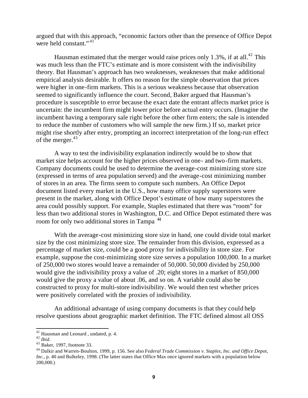argued that with this approach, "economic factors other than the presence of Office Depot were held constant." $41$ 

Hausman estimated that the merger would raise prices only  $1.3\%$ , if at all.<sup>42</sup> This was much less than the FTC's estimate and is more consistent with the indivisibility theory. But Hausman's approach has two weaknesses, weaknesses that make additional empirical analysis desirable. It offers no reason for the simple observation that prices were higher in one-firm markets. This is a serious weakness because that observation seemed to significantly influence the court. Second, Baker argued that Hausman's procedure is susceptible to error because the exact date the entrant affects market price is uncertain: the incumbent firm might lower price before actual entry occurs. (Imagine the incumbent having a temporary sale right before the other firm enters; the sale is intended to reduce the number of customers who will sample the new firm.) If so, market price might rise shortly after entry, prompting an incorrect interpretation of the long-run effect of the merger. $43$ 

A way to test the indivisibility explanation indirectly would be to show that market size helps account for the higher prices observed in one- and two-firm markets. Company documents could be used to determine the average-cost minimizing store size (expressed in terms of area population served) and the average-cost minimizing number of stores in an area. The firms seem to compute such numbers. An Office Depot document listed every market in the U.S., how many office supply superstores were present in the market, along with Office Depot's estimate of how many superstores the area could possibly support. For example, Staples estimated that there was "room" for less than two additional stores in Washington, D.C. and Office Depot estimated there was room for only two additional stores in Tampa<sup>44</sup>

With the average-cost minimizing store size in hand, one could divide total market size by the cost minimizing store size. The remainder from this division, expressed as a percentage of market size, could be a good proxy for indivisibility in store size. For example, suppose the cost-minimizing store size serves a population 100,000. In a market of 250,000 two stores would leave a remainder of 50,000. 50,000 divided by 250,000 would give the indivisibility proxy a value of .20; eight stores in a market of 850,000 would give the proxy a value of about .06, and so on. A variable could also be constructed to proxy for multi-store indivisibility. We would then test whether prices were positively correlated with the proxies of indivisibility.

An additional advantage of using company documents is that they could help resolve questions about geographic market definition. The FTC defined almost all OSS

<sup>&</sup>lt;sup>41</sup> Hausman and Leonard, undated, p. 4.

<sup>42</sup> *Ibid*.

<sup>43</sup> Baker, 1997, footnote 33.

<sup>44</sup> Dalkir and Warren-Boulton, 1999, p. 156. See also *Federal Trade Commission v. Staples, Inc. and Office Depot, Inc.*, p. 40 and Bulkeley, 1998. (The latter states that Office Max once ignored markets with a population below 200,000.)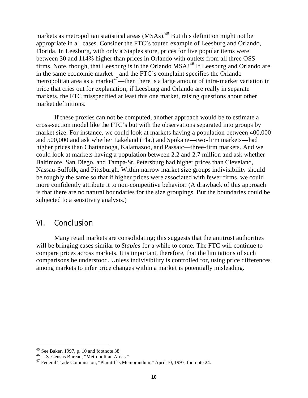markets as metropolitan statistical areas  $(MSAs)$ <sup>45</sup> But this definition might not be appropriate in all cases. Consider the FTC's touted example of Leesburg and Orlando, Florida. In Leesburg, with only a Staples store, prices for five popular items were between 30 and 114% higher than prices in Orlando with outlets from all three OSS firms. Note, though, that Leesburg is in the Orlando MSA!<sup>46</sup> If Leesburg and Orlando are in the same economic market—and the FTC's complaint specifies the Orlando metropolitan area as a market<sup> $47$ </sup>—then there is a large amount of intra-market variation in price that cries out for explanation; if Leesburg and Orlando are really in separate markets, the FTC misspecified at least this one market, raising questions about other market definitions.

If these proxies can not be computed, another approach would be to estimate a cross-section model like the FTC's but with the observations separated into groups by market size. For instance, we could look at markets having a population between 400,000 and 500,000 and ask whether Lakeland (Fla.) and Spokane—two-firm markets—had higher prices than Chattanooga, Kalamazoo, and Passaic—three-firm markets. And we could look at markets having a population between 2.2 and 2.7 million and ask whether Baltimore, San Diego, and Tampa-St. Petersburg had higher prices than Cleveland, Nassau-Suffolk, and Pittsburgh. Within narrow market size groups indivisibility should be roughly the same so that if higher prices were associated with fewer firms, we could more confidently attribute it to non-competitive behavior. (A drawback of this approach is that there are no natural boundaries for the size groupings. But the boundaries could be subjected to a sensitivity analysis.)

#### *VI. Conclusion*

Many retail markets are consolidating; this suggests that the antitrust authorities will be bringing cases similar to *Staples* for a while to come. The FTC will continue to compare prices across markets. It is important, therefore, that the limitations of such comparisons be understood. Unless indivisibility is controlled for, using price differences among markets to infer price changes within a market is potentially misleading.

 $45$  See Baker, 1997, p. 10 and footnote 38.

<sup>46</sup> U.S. Census Bureau, "Metropolitan Areas."

<sup>47</sup> Federal Trade Commission, "Plaintiff's Memorandum," April 10, 1997, footnote 24.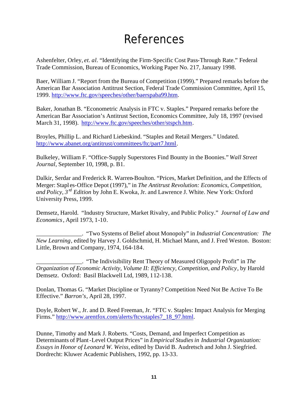# References

Ashenfelter, Orley, *et. al.* "Identifying the Firm-Specific Cost Pass-Through Rate." Federal Trade Commission, Bureau of Economics, Working Paper No. 217, January 1998.

Baer, William J. "Report from the Bureau of Competition (1999)." Prepared remarks before the American Bar Association Antitrust Section, Federal Trade Commission Committee, April 15, 1999. http://www.ftc.gov/speeches/other/baerspaba99.htm.

Baker, Jonathan B. "Econometric Analysis in FTC v. Staples." Prepared remarks before the American Bar Association's Antitrust Section, Economics Committee, July 18, 1997 (revised March 31, 1998). http://www.ftc.gov/speeches/other/stspch.htm.

Broyles, Phillip L. and Richard Liebeskind. "Staples and Retail Mergers." Undated. http://www.abanet.org/antitrust/committees/ftc/part7.html.

Bulkeley, William F. "Office-Supply Superstores Find Bounty in the Boonies." *Wall Street Journal*, September 10, 1998, p. B1.

Dalkir, Serdar and Frederick R. Warren-Boulton. "Prices, Market Definition, and the Effects of Merger: Stapl es-Office Depot (1997)," in *The Antitrust Revolution: Economics, Competition, and Policy, 3 rd Edition* by John E. Kwoka, Jr. and Lawrence J. White. New York: Oxford University Press, 1999.

Demsetz, Harold. "Industry Structure, Market Rivalry, and Public Policy." *Journal of Law and Economics*, April 1973, 1-10.

\_\_\_\_\_\_\_\_\_\_\_\_\_\_\_. "Two Systems of Belief about Monopoly" in *Industrial Concentration: The New Learning*, edited by Harvey J. Goldschmid, H. Michael Mann, and J. Fred Weston. Boston: Little, Brown and Company, 1974, 164-184.

\_\_\_\_\_\_\_\_\_\_\_\_\_\_\_. "The Indivisibility Rent Theory of Measured Oligopoly Profit" in *The Organization of Economic Activity, Volume II: Efficiency, Competition, and Policy*, by Harold Demsetz. Oxford: Basil Blackwell Ltd, 1989, 112-138.

Donlan, Thomas G. "Market Discipline or Tyranny? Competition Need Not Be Active To Be Effective." *Barron's*, April 28, 1997.

Doyle, Robert W., Jr. and D. Reed Freeman, Jr. "FTC v. Staples: Impact Analysis for Merging Firms." http://www.arentfox.com/alerts/ftcvstaples7\_18\_97.html.

Dunne, Timothy and Mark J. Roberts. "Costs, Demand, and Imperfect Competition as Determinants of Plant-Level Output Prices" in *Empirical Studies in Industrial Organization: Essays in Honor of Leonard W. Weiss,* edited by David B. Audretsch and John J. Siegfried. Dordrecht: Kluwer Academic Publishers, 1992, pp. 13-33.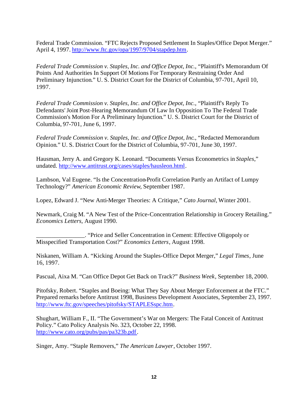Federal Trade Commission. "FTC Rejects Proposed Settlement In Staples/Office Depot Merger." April 4, 1997. http://www.ftc.gov/opa/1997/9704/stapdep.htm.

*Federal Trade Commission v. Staples, Inc. and Office Depot, Inc.*, "Plaintiff's Memorandum Of Points And Authorities In Support Of Motions For Temporary Restraining Order And Preliminary Injunction." U. S. District Court for the District of Columbia, 97-701, April 10, 1997.

*Federal Trade Commission v. Staples, Inc. and Office Depot, Inc.*, "Plaintiff's Reply To Defendants' Joint Post-Hearing Memorandum Of Law In Opposition To The Federal Trade Commission's Motion For A Preliminary Injunction." U. S. District Court for the District of Columbia, 97-701, June 6, 1997.

*Federal Trade Commission v. Staples, Inc. and Office Depot, Inc.*, "Redacted Memorandum Opinion." U. S. District Court for the District of Columbia, 97-701, June 30, 1997.

Hausman, Jerry A. and Gregory K. Leonard. "Documents Versus Econometrics in *Staples*," undated. http://www.antitrust.org/cases/staples/hausleon.html.

Lambson, Val Eugene. "Is the Concentration-Profit Correlation Partly an Artifact of Lumpy Technology?" *American Economic Review*, September 1987.

Lopez, Edward J. "New Anti-Merger Theories: A Critique," *Cato Journal*, Winter 2001.

Newmark, Craig M. "A New Test of the Price-Concentration Relationship in Grocery Retailing." *Economics Letters,* August 1990.

\_\_\_\_\_\_\_\_\_\_\_\_\_\_\_\_. "Price and Seller Concentration in Cement: Effective Oligopoly or Misspecified Transportation Cost?" *Economics Letters*, August 1998.

Niskanen, William A. "Kicking Around the Staples-Office Depot Merger," *Legal Times*, June 16, 1997.

Pascual, Aixa M. "Can Office Depot Get Back on Track?" *Business Week*, September 18, 2000.

Pitofsky, Robert. "Staples and Boeing: What They Say About Merger Enforcement at the FTC." Prepared remarks before Antitrust 1998, Business Development Associates, September 23, 1997. http://www.ftc.gov/speeches/pitofsky/STAPLESspc.htm.

Shughart, William F., II. "The Government's War on Mergers: The Fatal Conceit of Antitrust Policy." Cato Policy Analysis No. 323, October 22, 1998. http://www.cato.org/pubs/pas/pa323b.pdf.

Singer, Amy. "Staple Removers," *The American Lawyer*, October 1997.